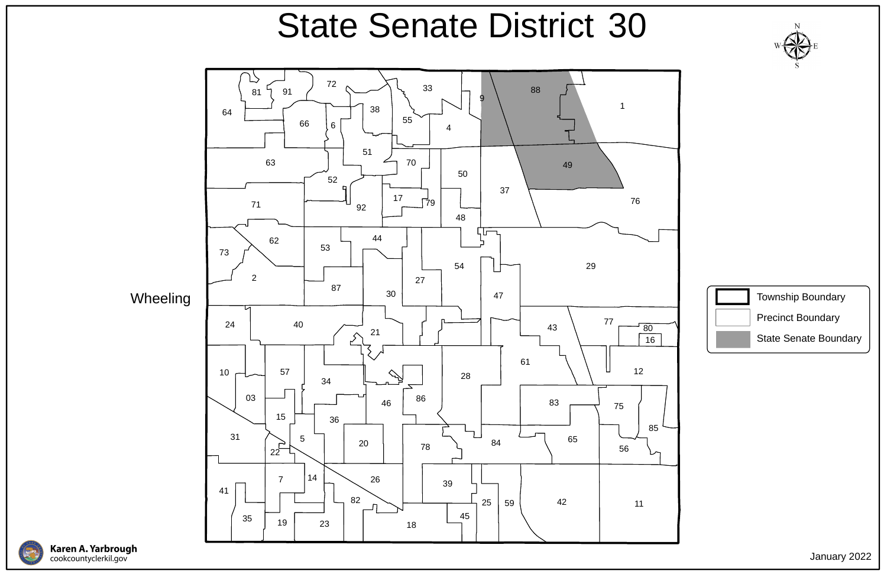

**Wheeling** 





## State Senate District 30